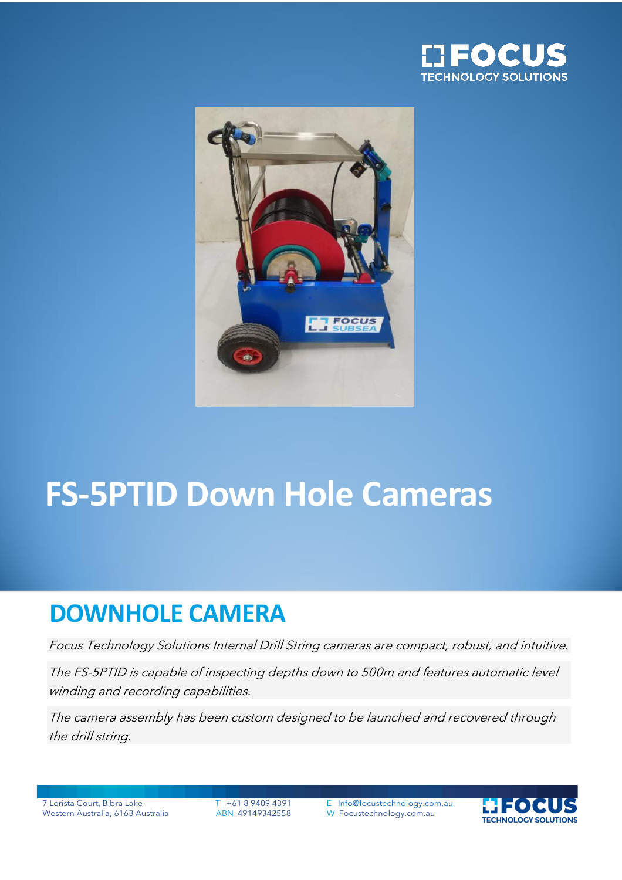



# **FS-5PTID Down Hole Cameras**

## **DOWNHOLE CAMERA**

Focus Technology Solutions Internal Drill String cameras are compact, robust, and intuitive.

The FS-5PTID is capable of inspecting depths down to 500m and features automatic level winding and recording capabilities.

The camera assembly has been custom designed to be launched and recovered through the drill string.

Western Australia, 6163 Australia ABN 49149342558

7 Lerista Court, Bibra Lake T +61 8 9409 4391 E [Info@focustechnology.com.au](mailto:Info@focustechnology.com.au)